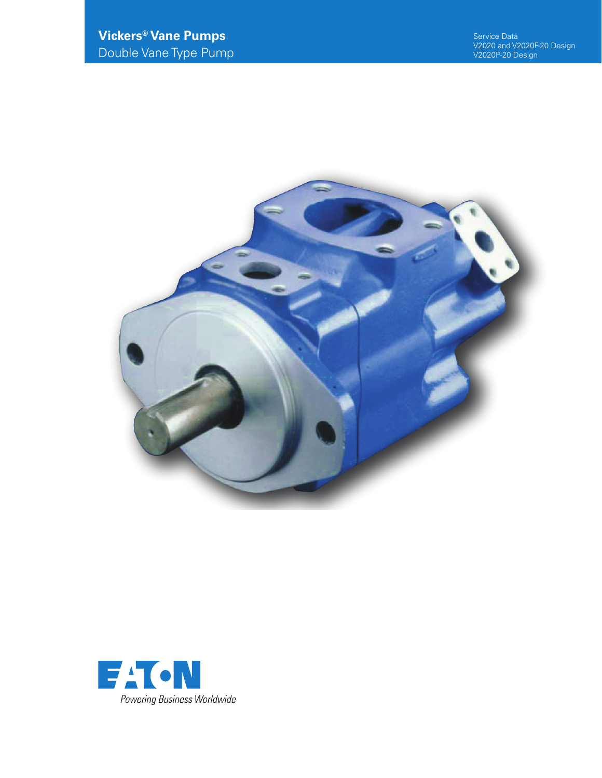

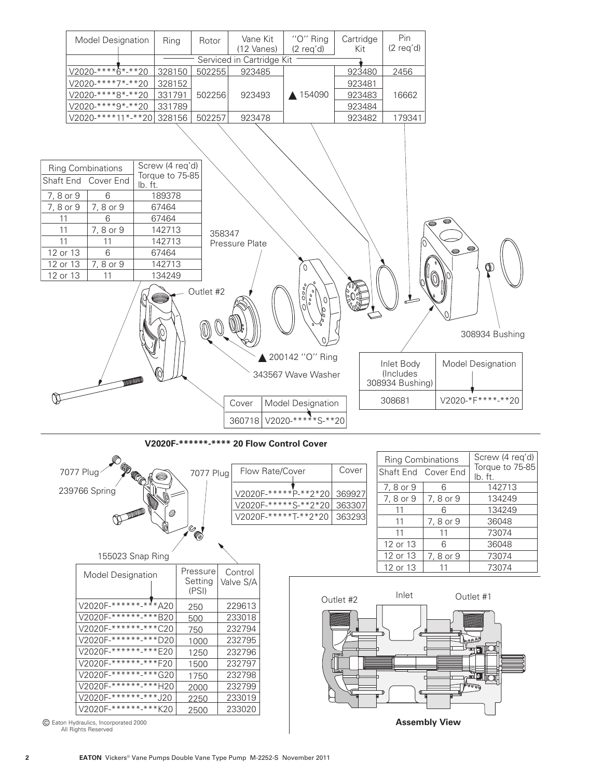



| <b>Model Designation</b> | Pressure<br>Setting<br>(PSI) | Control<br>Valve S/A |
|--------------------------|------------------------------|----------------------|
| V2020F-******-***A20     | 250                          | 229613               |
| V2020F-*******-***B20    | 500                          | 233018               |
| V2020F-******-***C20     | 750                          | 232794               |
| V2020F-*******-***D20    | 1000                         | 232795               |
| V2020F-*******-***E20    | 1250                         | 232796               |
| V2020F-*******-***F20    | 1500                         | 232797               |
| V2020F-******-***G20     | 1750                         | 232798               |
| V2020F-*******-***H20    | 2000                         | 232799               |
| V2020F-*******-***J20    | 2250                         | 233019               |
| V2020F-*******-***K20    | 2500                         | 233020               |

Eaton Hydraulics, Incorporated 2000 All Rights Reserved



12 or 13

11

73074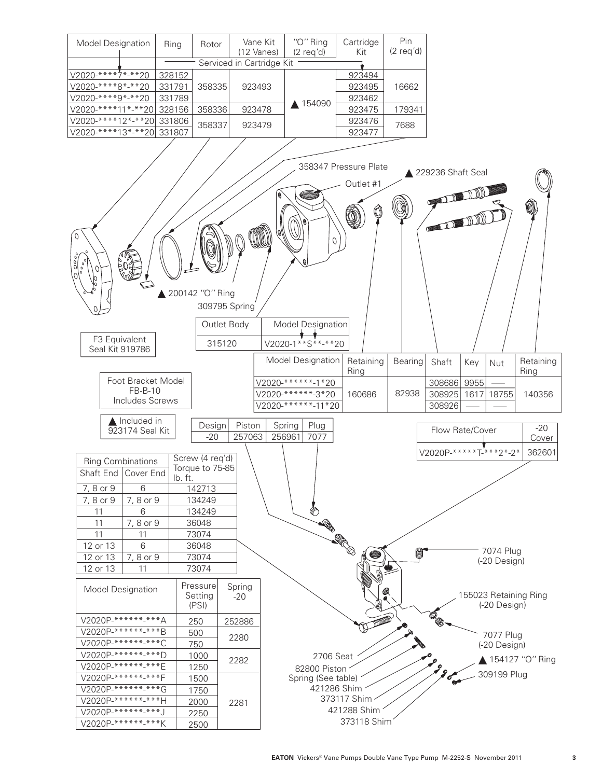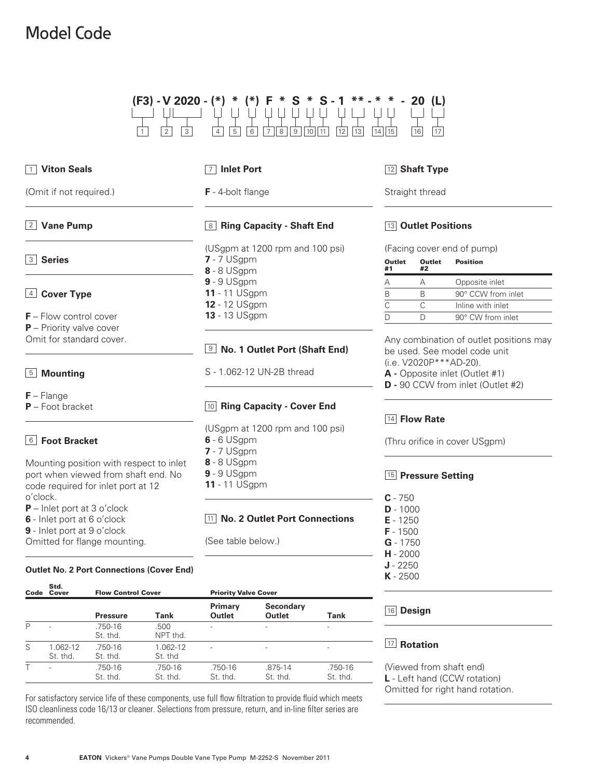# Model Code

| $(F3) - V2020 - (*) * (*) F * S * S - 1 * * - * * - 20 (L)$ |  |  |  |  |  |  |
|-------------------------------------------------------------|--|--|--|--|--|--|
|                                                             |  |  |  |  |  |  |

| 1 Viton Seals                                                                                                        | $\overline{7}$ Inlet Port                                         | 12 Shaft                                            |
|----------------------------------------------------------------------------------------------------------------------|-------------------------------------------------------------------|-----------------------------------------------------|
| (Omit if not required.)                                                                                              | F - 4-bolt flange                                                 | Straight t                                          |
| 2 Vane Pump                                                                                                          | 8 Ring Capacity - Shaft End                                       | $\vert$ 13 $\vert$ Outle                            |
| 3 Series                                                                                                             | (USgpm at 1200 rpm and 100 psi)<br>$7 - 7$ USgpm<br>8 - 8 USgpm   | (Facing co<br><b>Outlet</b><br>C<br>#1<br>Ħ         |
| $4$ Cover Type                                                                                                       | $9 - 9$ USgpm<br><b>11 - 11 USgpm</b><br><b>12 - 12 USgpm</b>     | А<br>F<br>E<br>B<br>$\overline{C}$<br>C             |
| $F$ – Flow control cover<br>$P$ – Priority valve cover<br>Omit for standard cover.                                   | <b>13</b> - 13 USgpm<br><b>9 No. 1 Outlet Port (Shaft End)</b>    | $\overline{D}$<br>$\Gamma$<br>Any coml<br>be used.  |
| 5 Mounting                                                                                                           | S - 1.062-12 UN-2B thread                                         | (i.e. V202<br>$A - Oppo$<br>$D - 90$ CC             |
| $F - \text{Flange}$<br>$P$ – Foot bracket                                                                            | 10 Ring Capacity - Cover End                                      |                                                     |
| <sup>6</sup> Foot Bracket                                                                                            | (USgpm at 1200 rpm and 100 psi)<br>$6 - 6$ USgpm<br>$7 - 7$ USgpm | $\boxed{14}$ Flow<br>(Thru orifi                    |
| Mounting position with respect to inlet<br>port when viewed from shaft end. No<br>code required for inlet port at 12 | 8 - 8 USgpm<br>$9 - 9$ USgpm<br><b>11</b> - 11 USgpm              | $ 15 $ Press                                        |
| o'clock.<br>$P$ – Inlet port at 3 o'clock<br>6 - Inlet port at 6 o'clock<br>9 - Inlet port at 9 o'clock              | 11 No. 2 Outlet Port Connections                                  | $C - 750$<br>$D - 1000$<br>$E - 1250$<br>$F - 1500$ |
| Omitted for flange mounting.                                                                                         | (See table below.)                                                | $G - 1750$<br>$H - 2000$                            |

#### **Outlet No. 2 Port Connections (Cover End)**

| Code | Std.<br>Cover        | <b>Flow Control Cover</b> |                     | <b>Priority Valve Cover</b> |                                   |                     |  |
|------|----------------------|---------------------------|---------------------|-----------------------------|-----------------------------------|---------------------|--|
|      |                      | <b>Pressure</b>           | Tank                | Primary<br>Outlet           | <b>Secondary</b><br><b>Outlet</b> | Tank                |  |
| P    |                      | .750-16<br>St. thd.       | .500<br>NPT thd.    |                             | ۰                                 |                     |  |
| S    | 1.062-12<br>St. thd. | .750-16<br>St. thd.       | 1.062-12<br>St. thd |                             | $\overline{\phantom{0}}$          |                     |  |
|      |                      | .750-16<br>St. thd.       | .750-16<br>St. thd. | .750-16<br>St. thd.         | .875-14<br>St. thd.               | .750-16<br>St. thd. |  |

For satisfactory service life of these components, use full flow filtration to provide fluid which meets ISO cleanliness code 16/13 or cleaner. Selections from pressure, return, and in-line filter series are recommended.

### **Type**

hread

#### **Positions**

over end of pump)

| Outlet<br>#1 | Outlet<br>#2 | <b>Position</b>           |
|--------------|--------------|---------------------------|
|              |              | Opposite inlet            |
| R            | К            | $90^\circ$ CCW from inlet |
|              | ⊖            | Inline with inlet         |
|              |              | 90° CW from inlet         |

bination of outlet positions may See model code unit  $20P***AD-20$ ).

- site inlet (Outlet #1)
- **CW** from inlet (Outlet #2)

#### **Rate**

ice in cover USgpm)

#### **Pressure Setting**

| <b>C</b> - 750  |
|-----------------|
| $D - 1000$      |
| $E - 1250$      |
| $F - 1500$      |
| <b>G</b> - 1750 |
| $H - 2000$      |
| $J - 2250$      |
| <b>K</b> - 2500 |
|                 |

#### 16 Design

#### **Rotation**

(Viewed from shaft end) **L** - Left hand (CCW rotation) Omitted for right hand rotation.